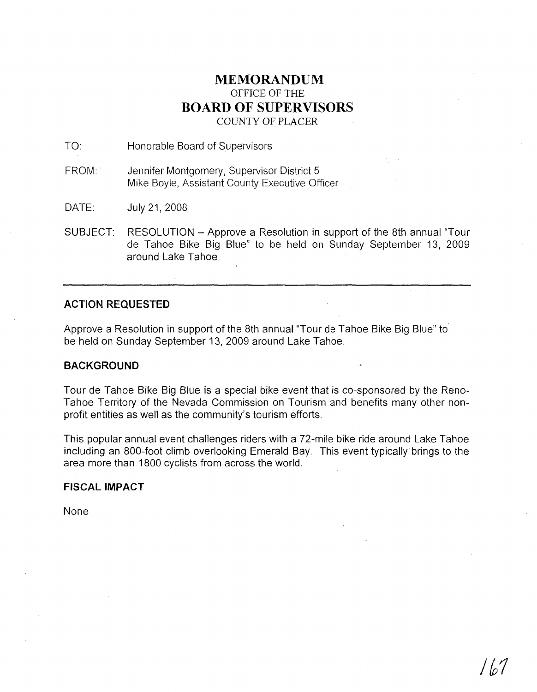## **MEMORANDUM** OFFICE OF THE **BOARD OF SUPERVISORS** COUNTY OF PLACER

TO: Honorable Board of Supervisors

FROM: Jennifer Montgomery, Supervisor District 5 Mike Boyle, Assistant County Executive Officer

DATE: July 21,2008

SUBJECT: RESOLUTION - Approve a Resolution in support of the 8th annual "Tour de Tahoe Bike Big Blue" to be held on Sunday September 13, 2009 around Lake Tahoe.

#### **ACTION REQUESTED**

Approve a Resolution in support of the 8th annual "Tour de Tahoe Bike Big Blue" to be held on Sunday September 13, 2009 around Lake Tahoe.

#### **BACKGROUND**

Tour de Tahoe Bike Big Blue is a special bike event that is co-sponsored by the Reno-Tahoe Territory of the Nevada Commission on Tourism and benefits many other nonprofit entities as well as the community's tourism efforts.

This popular annual event challenges riders with a 72-mile bike ride around Lake Tahoe including an 800-foot climb overlooking Emerald Bay. This event typically brings to the area more than 1800 cyclists from across the world.

#### **FISCAL IMPACT**

None